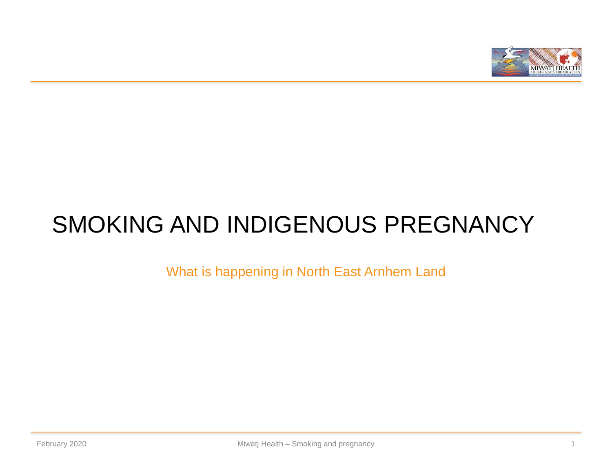

# SMOKING AND INDIGENOUS PREGNANCY

What is happening in North East Arnhem Land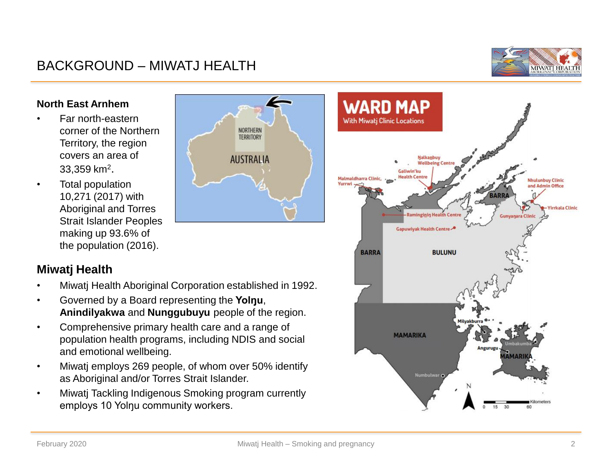## BACKGROUND – MIWATJ HEALTH



#### **North East Arnhem**

- Far north-eastern corner of the Northern Territory, the region covers an area of 33,359 km<sup>2</sup>.
- Total population 10,271 (2017) with Aboriginal and Torres Strait Islander Peoples making up 93.6% of the population (2016).

## **Miwatj Health**

• Miwatj Health Aboriginal Corporation established in 1992.

NORTHERN **TERRITORY** 

**AUSTRALIA** 

- Governed by a Board representing the **Yolŋu**, **Anindilyakwa** and **Nunggubuyu** people of the region.
- Comprehensive primary health care and a range of population health programs, including NDIS and social and emotional wellbeing.
- Miwatj employs 269 people, of whom over 50% identify as Aboriginal and/or Torres Strait Islander.
- Miwatj Tackling Indigenous Smoking program currently employs 10 Yolnu community workers.

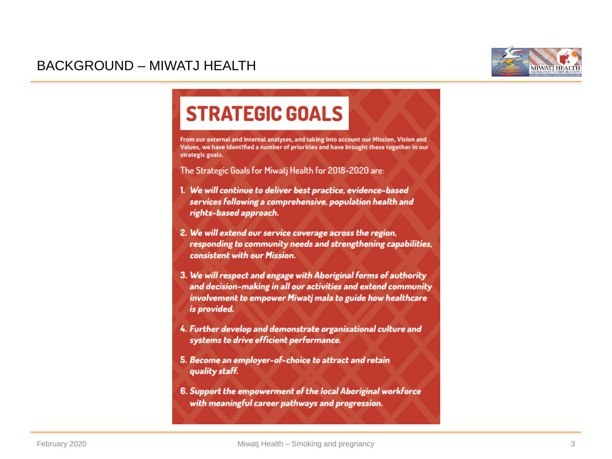

## BACKGROUND – MIWATJ HEALTH

## **STRATEGIC GOALS**

From our external and internal analyses, and taking into account our Mission, Vision and Values, we have identified a number of priorities and have brought these together in our strategic goals.

The Strategic Goals for Miwati Health for 2018-2020 are:

- 1. We will continue to deliver best practice, evidence-based services following a comprehensive, population health and rights-based approach.
- 2. We will extend our service coverage across the region, responding to community needs and strengthening capabilities, consistent with our Mission.
- 3. We will respect and engage with Aboriginal forms of authority and decision-making in all our activities and extend community involvement to empower Miwatj mala to guide how healthcare is provided.
- 4. Further develop and demonstrate organisational culture and systems to drive efficient performance.
- 5. Become an employer-of-choice to attract and retain quality staff.
- 6. Support the empowerment of the local Aboriginal workforce with meaningful career pathways and progression.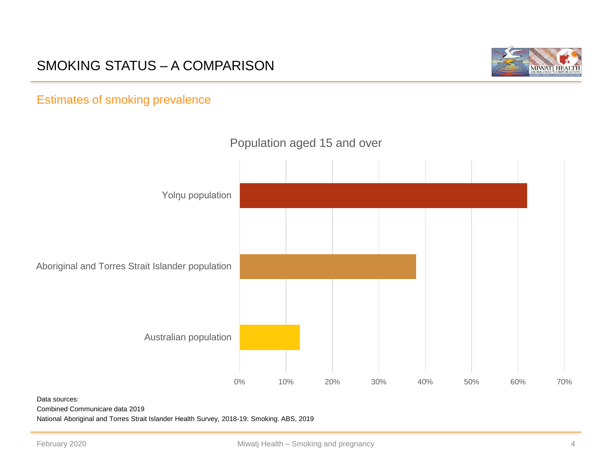## SMOKING STATUS – A COMPARISON



## Estimates of smoking prevalence



### Population aged 15 and over

Data sources:

Combined Communicare data 2019

National Aboriginal and Torres Strait Islander Health Survey, 2018-19: Smoking. ABS, 2019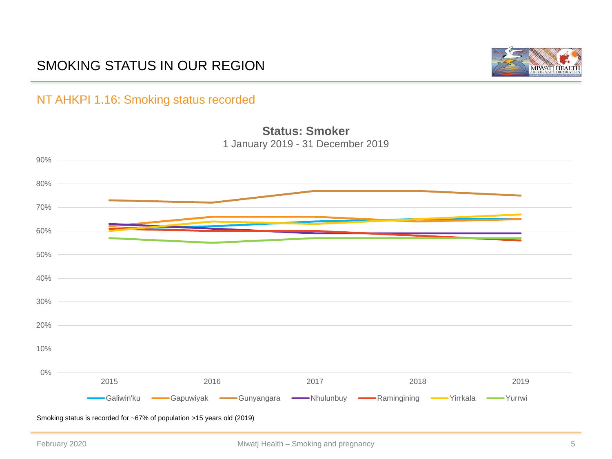## SMOKING STATUS IN OUR REGION



### NT AHKPI 1.16: Smoking status recorded



**Status: Smoker**

Smoking status is recorded for ~67% of population >15 years old (2019)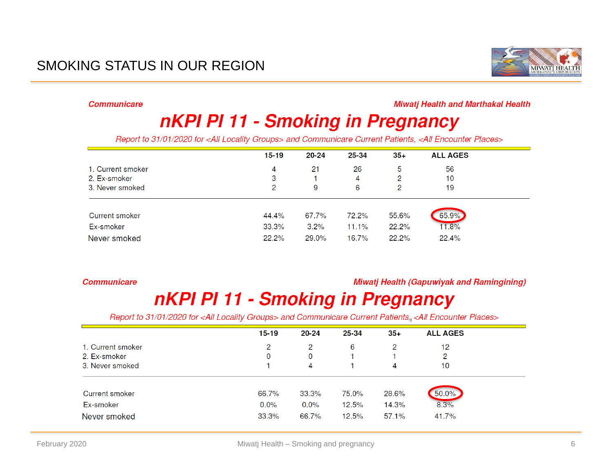## SMOKING STATUS IN OUR REGION



**Communicare** 

#### **Miwati Health and Marthakal Health**

## nKPI PI 11 - Smoking in Pregnancy

Report to 31/01/2020 for <All Locality Groups> and Communicare Current Patients, <All Encounter Places>

|                       | $15 - 19$ | 20-24 | 25-34 | $35 +$ | <b>ALL AGES</b> |
|-----------------------|-----------|-------|-------|--------|-----------------|
| 1. Current smoker     | 4         | 21    | 26    | 5      | 56              |
| 2. Ex-smoker          | 3         |       | 4     | 2      | 10              |
| 3. Never smoked       | 2         | 9     | 6     | 2      | 19              |
|                       |           |       |       |        |                 |
| <b>Current smoker</b> | 44.4%     | 67.7% | 72.2% | 55.6%  | 65.9%           |
| Ex-smoker             | 33.3%     | 3.2%  | 11.1% | 22.2%  | 11.8%           |
| Never smoked          | 22.2%     | 29.0% | 16.7% | 22.2%  | 22.4%           |

#### **Communicare**

#### **Miwatj Health (Gapuwiyak and Ramingining)**

## nKPI PI 11 - Smoking in Pregnancy

Report to 31/01/2020 for <All Locality Groups> and Communicare Current Patients, <All Encounter Places>

|                   | $15 - 19$ | 20-24 | 25-34 | $35+$ | <b>ALL AGES</b> |  |
|-------------------|-----------|-------|-------|-------|-----------------|--|
| 1. Current smoker | 2         | 2     | 6     | 2     | 12              |  |
| 2. Ex-smoker      | 0         | 0     |       |       | 2               |  |
| 3. Never smoked   |           | 4     |       | 4     | 10              |  |
|                   |           |       |       |       |                 |  |
| Current smoker    | 66.7%     | 33.3% | 75.0% | 28.6% | 50.0%           |  |
| Ex-smoker         | $0.0\%$   | 0.0%  | 12.5% | 14.3% | 8.3%            |  |
| Never smoked      | 33.3%     | 66.7% | 12.5% | 57.1% | 41.7%           |  |
|                   |           |       |       |       |                 |  |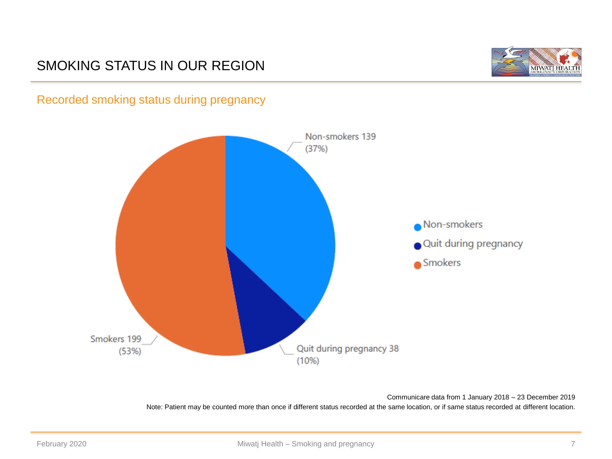## SMOKING STATUS IN OUR REGION



Recorded smoking status during pregnancy



Communicare data from 1 January 2018 – 23 December 2019 Note: Patient may be counted more than once if different status recorded at the same location, or if same status recorded at different location.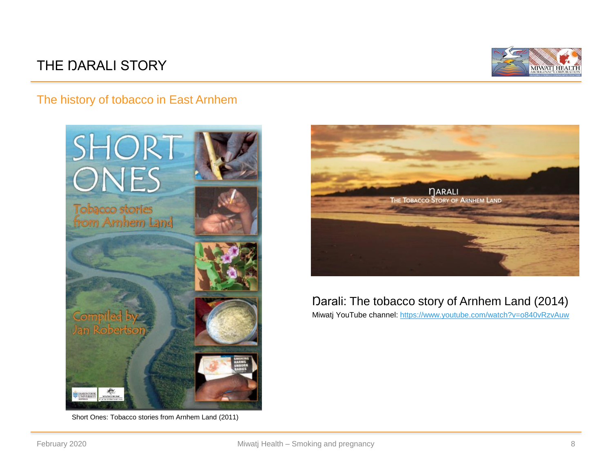## THE DARALI STORY



### The history of tobacco in East Arnhem



Short Ones: Tobacco stories from Arnhem Land (2011)



## Darali: The tobacco story of Arnhem Land (2014)

Miwatj YouTube channel: <https://www.youtube.com/watch?v=o840vRzvAuw>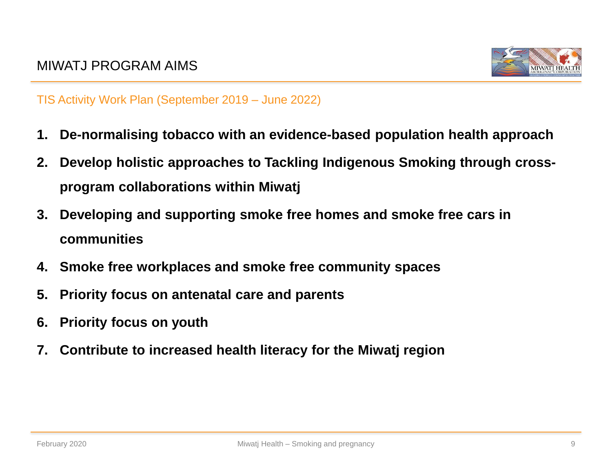

TIS Activity Work Plan (September 2019 – June 2022)

- **1. De-normalising tobacco with an evidence-based population health approach**
- **2. Develop holistic approaches to Tackling Indigenous Smoking through crossprogram collaborations within Miwatj**
- **3. Developing and supporting smoke free homes and smoke free cars in communities**
- **4. Smoke free workplaces and smoke free community spaces**
- **5. Priority focus on antenatal care and parents**
- **6. Priority focus on youth**
- **7. Contribute to increased health literacy for the Miwatj region**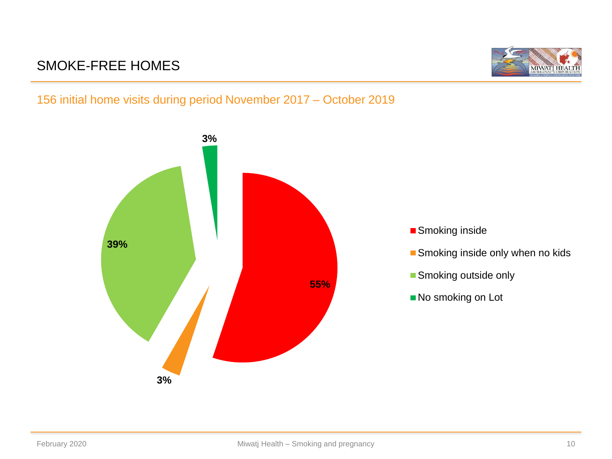## SMOKE-FREE HOMES



## 156 initial home visits during period November 2017 – October 2019

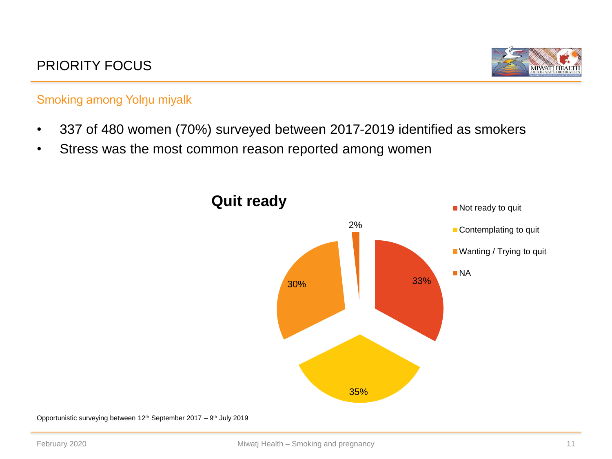

## Smoking among Yolŋu miyalk

- 337 of 480 women (70%) surveyed between 2017-2019 identified as smokers
- Stress was the most common reason reported among women



Opportunistic surveying between 12<sup>th</sup> September 2017 – 9<sup>th</sup> July 2019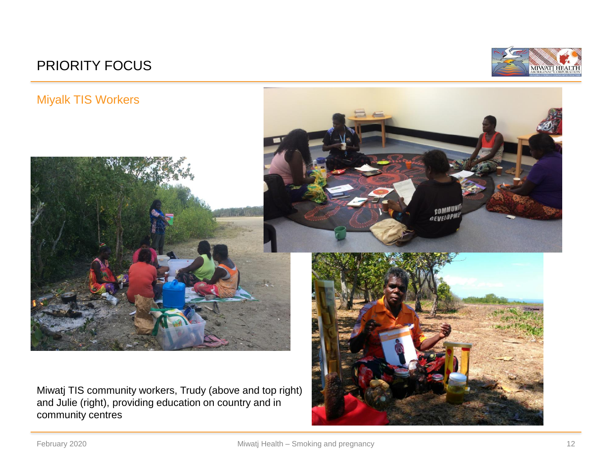## PRIORITY FOCUS





and Julie (right), providing education on country and in community centres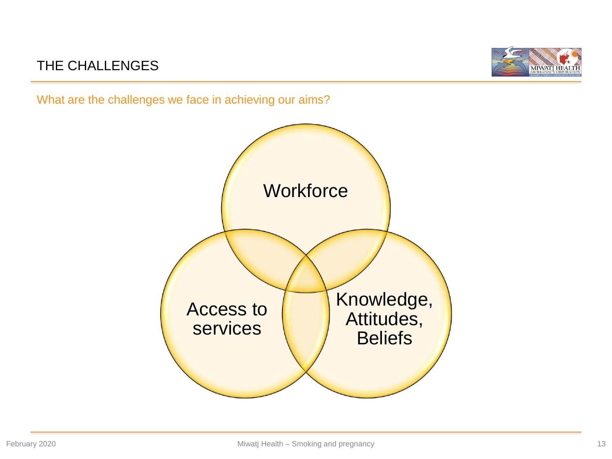## THE CHALLENGES



What are the challenges we face in achieving our aims?

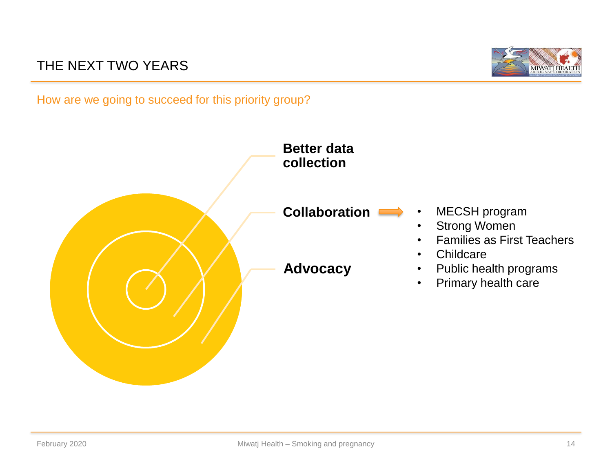## THE NEXT TWO YEARS



How are we going to succeed for this priority group?